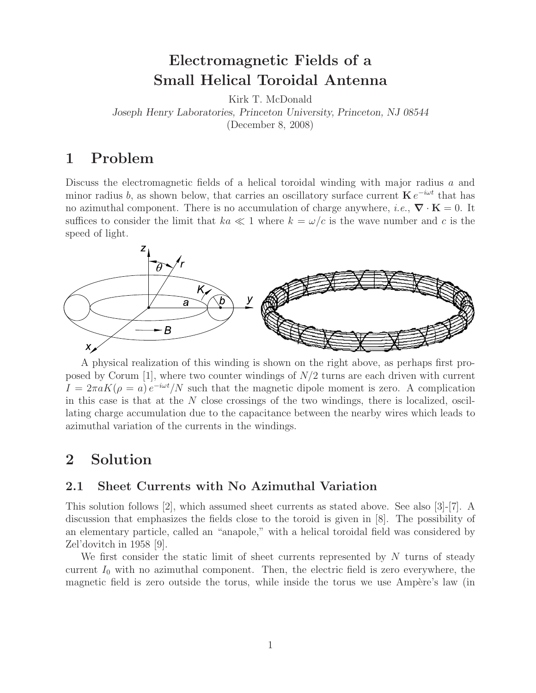# **Electromagnetic Fields of a Small Helical Toroidal Antenna**

Kirk T. McDonald

*Joseph Henry Laboratories, Princeton University, Princeton, NJ 08544*

(December 8, 2008)

## **1 Problem**

Discuss the electromagnetic fields of a helical toroidal winding with major radius a and minor radius b, as shown below, that carries an oscillatory surface current  $\mathbf{K} e^{-i\omega t}$  that has no azimuthal component. There is no accumulation of charge anywhere, *i.e.*,  $\nabla \cdot \mathbf{K} = 0$ . It suffices to consider the limit that  $ka \ll 1$  where  $k = \omega/c$  is the wave number and c is the speed of light.



A physical realization of this winding is shown on the right above, as perhaps first proposed by Corum  $[1]$ , where two counter windings of  $N/2$  turns are each driven with current  $I = 2\pi a K(\rho = a) e^{-i\omega t}/N$  such that the magnetic dipole moment is zero. A complication in this case is that at the  $N$  close crossings of the two windings, there is localized, oscillating charge accumulation due to the capacitance between the nearby wires which leads to azimuthal variation of the currents in the windings.

### **2 Solution**

#### **2.1 Sheet Currents with No Azimuthal Variation**

This solution follows [2], which assumed sheet currents as stated above. See also [3]-[7]. A discussion that emphasizes the fields close to the toroid is given in [8]. The possibility of an elementary particle, called an "anapole," with a helical toroidal field was considered by Zel'dovitch in 1958 [9].

We first consider the static limit of sheet currents represented by  $N$  turns of steady current  $I_0$  with no azimuthal component. Then, the electric field is zero everywhere, the magnetic field is zero outside the torus, while inside the torus we use Ampère's law (in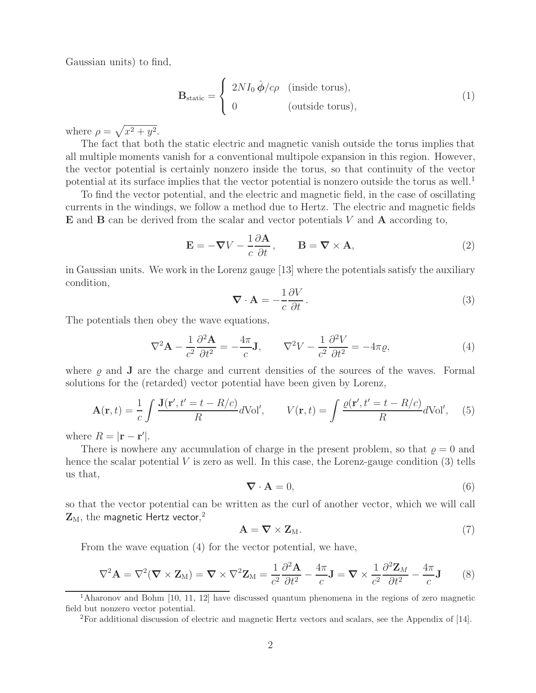Gaussian units) to find,

$$
\mathbf{B}_{\text{static}} = \begin{cases} 2NI_0 \hat{\boldsymbol{\phi}}/c\rho & \text{(inside torus)},\\ 0 & \text{(outside torus)}, \end{cases}
$$
(1)

where  $\rho = \sqrt{x^2 + y^2}$ .

The fact that both the static electric and magnetic vanish outside the torus implies that all multiple moments vanish for a conventional multipole expansion in this region. However, the vector potential is certainly nonzero inside the torus, so that continuity of the vector potential at its surface implies that the vector potential is nonzero outside the torus as well.<sup>1</sup>

To find the vector potential, and the electric and magnetic field, in the case of oscillating currents in the windings, we follow a method due to Hertz. The electric and magnetic fields **E** and **B** can be derived from the scalar and vector potentials V and **A** according to,

$$
\mathbf{E} = -\nabla V - \frac{1}{c} \frac{\partial \mathbf{A}}{\partial t}, \qquad \mathbf{B} = \nabla \times \mathbf{A}, \tag{2}
$$

in Gaussian units. We work in the Lorenz gauge [13] where the potentials satisfy the auxiliary condition,

$$
\nabla \cdot \mathbf{A} = -\frac{1}{c} \frac{\partial V}{\partial t}.
$$
 (3)

The potentials then obey the wave equations,

$$
\nabla^2 \mathbf{A} - \frac{1}{c^2} \frac{\partial^2 \mathbf{A}}{\partial t^2} = -\frac{4\pi}{c} \mathbf{J}, \qquad \nabla^2 V - \frac{1}{c^2} \frac{\partial^2 V}{\partial t^2} = -4\pi \varrho,
$$
\n(4)

where  $\rho$  and **J** are the charge and current densities of the sources of the waves. Formal solutions for the (retarded) vector potential have been given by Lorenz,

$$
\mathbf{A}(\mathbf{r},t) = \frac{1}{c} \int \frac{\mathbf{J}(\mathbf{r}',t'=t-R/c)}{R} d\text{Vol}', \qquad V(\mathbf{r},t) = \int \frac{\varrho(\mathbf{r}',t'=t-R/c)}{R} d\text{Vol}', \quad (5)
$$

where  $R = |\mathbf{r} - \mathbf{r}'|$ .

There is nowhere any accumulation of charge in the present problem, so that  $\rho = 0$  and hence the scalar potential  $V$  is zero as well. In this case, the Lorenz-gauge condition  $(3)$  tells us that,

$$
\nabla \cdot \mathbf{A} = 0,\tag{6}
$$

so that the vector potential can be written as the curl of another vector, which we will call  $\mathbf{Z}_\text{M},$  the magnetic Hertz vector, $^2$ 

$$
\mathbf{A} = \nabla \times \mathbf{Z}_{\mathrm{M}}.\tag{7}
$$

From the wave equation (4) for the vector potential, we have,

$$
\nabla^2 \mathbf{A} = \nabla^2 (\mathbf{\nabla} \times \mathbf{Z}_M) = \mathbf{\nabla} \times \nabla^2 \mathbf{Z}_M = \frac{1}{c^2} \frac{\partial^2 \mathbf{A}}{\partial t^2} - \frac{4\pi}{c} \mathbf{J} = \mathbf{\nabla} \times \frac{1}{c^2} \frac{\partial^2 \mathbf{Z}_M}{\partial t^2} - \frac{4\pi}{c} \mathbf{J}
$$
 (8)

<sup>1</sup>Aharonov and Bohm [10, 11, 12] have discussed quantum phenomena in the regions of zero magnetic field but nonzero vector potential.

<sup>2</sup>For additional discussion of electric and magnetic Hertz vectors and scalars, see the Appendix of [14].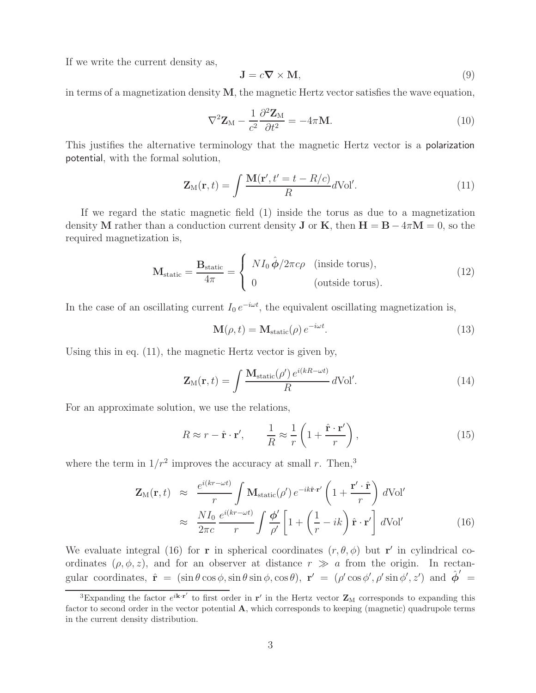If we write the current density as,

$$
\mathbf{J} = c\mathbf{\nabla} \times \mathbf{M},\tag{9}
$$

in terms of a magnetization density **M**, the magnetic Hertz vector satisfies the wave equation,

$$
\nabla^2 \mathbf{Z}_M - \frac{1}{c^2} \frac{\partial^2 \mathbf{Z}_M}{\partial t^2} = -4\pi \mathbf{M}.
$$
 (10)

This justifies the alternative terminology that the magnetic Hertz vector is a polarization potential, with the formal solution,

$$
\mathbf{Z}_{\mathrm{M}}(\mathbf{r},t) = \int \frac{\mathbf{M}(\mathbf{r}',t'=t-R/c)}{R} d\mathrm{Vol}'. \qquad (11)
$$

If we regard the static magnetic field (1) inside the torus as due to a magnetization density **M** rather than a conduction current density **J** or **K**, then  $H = B - 4\pi M = 0$ , so the required magnetization is,

$$
\mathbf{M}_{\text{static}} = \frac{\mathbf{B}_{\text{static}}}{4\pi} = \begin{cases} N I_0 \hat{\boldsymbol{\phi}} / 2\pi c\rho & \text{(inside torus)},\\ 0 & \text{(outside torus)}. \end{cases}
$$
(12)

In the case of an oscillating current  $I_0 e^{-i\omega t}$ , the equivalent oscillating magnetization is,

$$
\mathbf{M}(\rho, t) = \mathbf{M}_{\text{static}}(\rho) e^{-i\omega t}.
$$
\n(13)

Using this in eq. (11), the magnetic Hertz vector is given by,

$$
\mathbf{Z}_{\mathrm{M}}(\mathbf{r},t) = \int \frac{\mathbf{M}_{\mathrm{static}}(\rho') e^{i(kR - \omega t)}}{R} d\mathrm{Vol}'. \qquad (14)
$$

For an approximate solution, we use the relations,

$$
R \approx r - \hat{\mathbf{r}} \cdot \mathbf{r}', \qquad \frac{1}{R} \approx \frac{1}{r} \left( 1 + \frac{\hat{\mathbf{r}} \cdot \mathbf{r}'}{r} \right), \tag{15}
$$

where the term in  $1/r^2$  improves the accuracy at small r. Then,<sup>3</sup>

$$
\mathbf{Z}_{\mathrm{M}}(\mathbf{r},t) \approx \frac{e^{i(kr-\omega t)}}{r} \int \mathbf{M}_{\mathrm{static}}(\rho') e^{-ik\hat{\mathbf{r}} \cdot \mathbf{r'}} \left(1 + \frac{\mathbf{r'} \cdot \hat{\mathbf{r}}}{r}\right) d\mathrm{Vol}'
$$

$$
\approx \frac{N I_0}{2\pi c} \frac{e^{i(kr-\omega t)}}{r} \int \frac{\phi'}{\rho'} \left[1 + \left(\frac{1}{r} - ik\right)\hat{\mathbf{r}} \cdot \mathbf{r'}\right] d\mathrm{Vol}' \tag{16}
$$

We evaluate integral (16) for **r** in spherical coordinates  $(r, \theta, \phi)$  but **r**<sup> $\prime$ </sup> in cylindrical coordinates  $(\rho, \phi, z)$ , and for an observer at distance  $r \gg a$  from the origin. In rectangular coordinates,  $\hat{\mathbf{r}} = (\sin \theta \cos \phi, \sin \theta \sin \phi, \cos \theta), \mathbf{r}' = (\rho' \cos \phi', \rho' \sin \phi', z')$  and  $\hat{\phi}' =$ 

<sup>&</sup>lt;sup>3</sup>Expanding the factor  $e^{i\mathbf{k}\cdot\mathbf{r}'}$  to first order in  $\mathbf{r}'$  in the Hertz vector  $\mathbf{Z}_M$  corresponds to expanding this factor to second order in the vector potential **A**, which corresponds to keeping (magnetic) quadrupole terms in the current density distribution.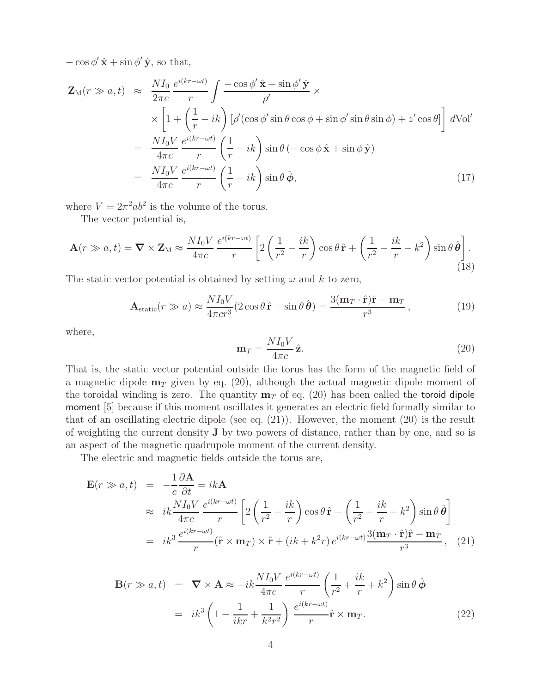$-\cos\phi'\hat{\mathbf{x}} + \sin\phi'\hat{\mathbf{y}}$ , so that,

$$
\mathbf{Z}_{\mathrm{M}}(r \gg a, t) \approx \frac{NI_{0}}{2\pi c} \frac{e^{i(kr - \omega t)}}{r} \int \frac{-\cos\phi' \hat{\mathbf{x}} + \sin\phi' \hat{\mathbf{y}}}{\rho'} \times
$$
  
\n
$$
\times \left[1 + \left(\frac{1}{r} - ik\right) [\rho'(\cos\phi' \sin\theta \cos\phi + \sin\phi' \sin\theta \sin\phi) + z'\cos\theta]\right] d\mathrm{Vol}'
$$
  
\n
$$
= \frac{NI_{0}V}{4\pi c} \frac{e^{i(kr - \omega t)}}{r} \left(\frac{1}{r} - ik\right) \sin\theta (-\cos\phi \hat{\mathbf{x}} + \sin\phi \hat{\mathbf{y}})
$$
  
\n
$$
= \frac{NI_{0}V}{4\pi c} \frac{e^{i(kr - \omega t)}}{r} \left(\frac{1}{r} - ik\right) \sin\theta \hat{\phi}, \qquad (17)
$$

where  $V = 2\pi^2 ab^2$  is the volume of the torus.

The vector potential is,

$$
\mathbf{A}(r \gg a, t) = \nabla \times \mathbf{Z}_{\mathrm{M}} \approx \frac{NI_0 V}{4\pi c} \frac{e^{i(kr - \omega t)}}{r} \left[ 2\left(\frac{1}{r^2} - \frac{ik}{r}\right) \cos\theta \,\hat{\mathbf{r}} + \left(\frac{1}{r^2} - \frac{ik}{r} - k^2\right) \sin\theta \,\hat{\boldsymbol{\theta}} \right].
$$
\n(18)

The static vector potential is obtained by setting  $\omega$  and k to zero,

$$
\mathbf{A}_{\text{static}}(r \gg a) \approx \frac{NI_0V}{4\pi cr^3} (2\cos\theta \,\hat{\mathbf{r}} + \sin\theta \,\hat{\boldsymbol{\theta}}) = \frac{3(\mathbf{m}_T \cdot \hat{\mathbf{r}})\hat{\mathbf{r}} - \mathbf{m}_T}{r^3},\tag{19}
$$

where,

$$
\mathbf{m}_T = \frac{NI_0V}{4\pi c}\,\hat{\mathbf{z}}.\tag{20}
$$

That is, the static vector potential outside the torus has the form of the magnetic field of a magnetic dipole  $\mathbf{m}_T$  given by eq. (20), although the actual magnetic dipole moment of the toroidal winding is zero. The quantity  $m<sub>T</sub>$  of eq. (20) has been called the toroid dipole moment [5] because if this moment oscillates it generates an electric field formally similar to that of an oscillating electric dipole (see eq. (21)). However, the moment (20) is the result of weighting the current density **J** by two powers of distance, rather than by one, and so is an aspect of the magnetic quadrupole moment of the current density.

The electric and magnetic fields outside the torus are,

$$
\mathbf{E}(r \gg a, t) = -\frac{1}{c} \frac{\partial \mathbf{A}}{\partial t} = ik \mathbf{A}
$$
\n
$$
\approx ik \frac{NI_0 V}{4\pi c} \frac{e^{i(kr - \omega t)}}{r} \left[ 2\left(\frac{1}{r^2} - \frac{ik}{r}\right) \cos \theta \hat{\mathbf{r}} + \left(\frac{1}{r^2} - \frac{ik}{r} - k^2\right) \sin \theta \hat{\theta} \right]
$$
\n
$$
= ik^3 \frac{e^{i(kr - \omega t)}}{r} (\hat{\mathbf{r}} \times \mathbf{m}_T) \times \hat{\mathbf{r}} + (ik + k^2 r) e^{i(kr - \omega t)} \frac{3(\mathbf{m}_T \cdot \hat{\mathbf{r}}) \hat{\mathbf{r}} - \mathbf{m}_T}{r^3}, \quad (21)
$$

$$
\mathbf{B}(r \gg a, t) = \nabla \times \mathbf{A} \approx -ik \frac{NI_0 V}{4\pi c} \frac{e^{i(kr - \omega t)}}{r} \left(\frac{1}{r^2} + \frac{ik}{r} + k^2\right) \sin \theta \,\hat{\boldsymbol{\phi}}
$$
  
\n
$$
= ik^3 \left(1 - \frac{1}{ikr} + \frac{1}{k^2 r^2}\right) \frac{e^{i(kr - \omega t)}}{r} \hat{\mathbf{r}} \times \mathbf{m}_T.
$$
 (22)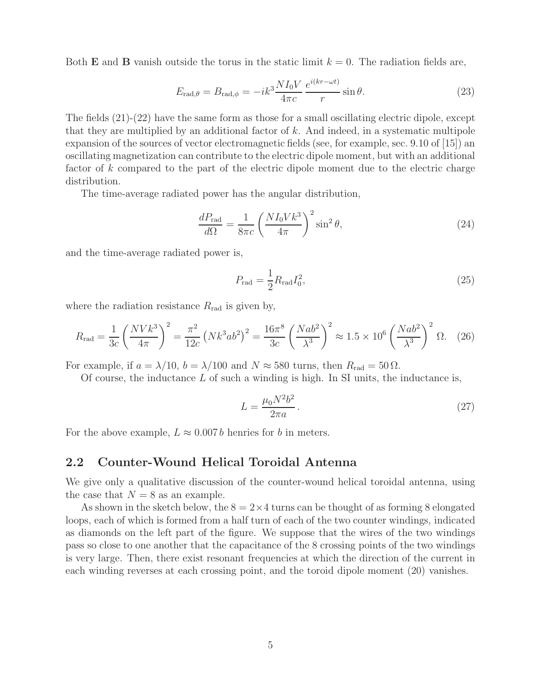Both **E** and **B** vanish outside the torus in the static limit  $k = 0$ . The radiation fields are,

$$
E_{\text{rad},\theta} = B_{\text{rad},\phi} = -ik^3 \frac{NI_0V}{4\pi c} \frac{e^{i(kr - \omega t)}}{r} \sin \theta.
$$
 (23)

The fields (21)-(22) have the same form as those for a small oscillating electric dipole, except that they are multiplied by an additional factor of  $k$ . And indeed, in a systematic multipole expansion of the sources of vector electromagnetic fields (see, for example, sec. 9.10 of [15]) an oscillating magnetization can contribute to the electric dipole moment, but with an additional factor of k compared to the part of the electric dipole moment due to the electric charge distribution.

The time-average radiated power has the angular distribution,

$$
\frac{dP_{\text{rad}}}{d\Omega} = \frac{1}{8\pi c} \left(\frac{NI_0 V k^3}{4\pi}\right)^2 \sin^2 \theta,\tag{24}
$$

and the time-average radiated power is,

$$
P_{\rm rad} = \frac{1}{2} R_{\rm rad} I_0^2,\tag{25}
$$

where the radiation resistance  $R_{\text{rad}}$  is given by,

$$
R_{\rm rad} = \frac{1}{3c} \left(\frac{NVk^3}{4\pi}\right)^2 = \frac{\pi^2}{12c} \left(Nk^3ab^2\right)^2 = \frac{16\pi^8}{3c} \left(\frac{Nab^2}{\lambda^3}\right)^2 \approx 1.5 \times 10^6 \left(\frac{Nab^2}{\lambda^3}\right)^2 \Omega. \tag{26}
$$

For example, if  $a = \lambda/10$ ,  $b = \lambda/100$  and  $N \approx 580$  turns, then  $R_{\text{rad}} = 50 \Omega$ .

Of course, the inductance  $L$  of such a winding is high. In SI units, the inductance is,

$$
L = \frac{\mu_0 N^2 b^2}{2\pi a} \,. \tag{27}
$$

For the above example,  $L \approx 0.007 b$  henries for b in meters.

#### **2.2 Counter-Wound Helical Toroidal Antenna**

We give only a qualitative discussion of the counter-wound helical toroidal antenna, using the case that  $N = 8$  as an example.

As shown in the sketch below, the  $8 = 2 \times 4$  turns can be thought of as forming 8 elongated loops, each of which is formed from a half turn of each of the two counter windings, indicated as diamonds on the left part of the figure. We suppose that the wires of the two windings pass so close to one another that the capacitance of the 8 crossing points of the two windings is very large. Then, there exist resonant frequencies at which the direction of the current in each winding reverses at each crossing point, and the toroid dipole moment (20) vanishes.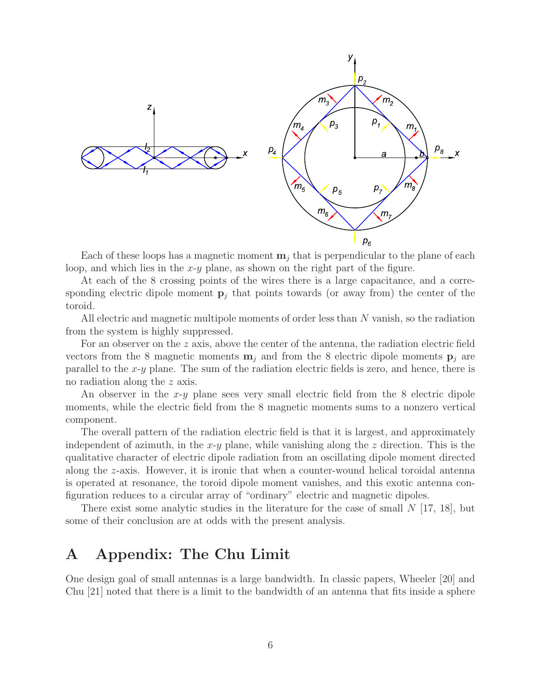

Each of these loops has a magnetic moment  $\mathbf{m}_i$  that is perpendicular to the plane of each loop, and which lies in the  $x-y$  plane, as shown on the right part of the figure.

At each of the 8 crossing points of the wires there is a large capacitance, and a corresponding electric dipole moment  $\mathbf{p}_j$  that points towards (or away from) the center of the toroid.

All electric and magnetic multipole moments of order less than N vanish, so the radiation from the system is highly suppressed.

For an observer on the z axis, above the center of the antenna, the radiation electric field vectors from the 8 magnetic moments  $\mathbf{m}_i$  and from the 8 electric dipole moments  $\mathbf{p}_i$  are parallel to the x-y plane. The sum of the radiation electric fields is zero, and hence, there is no radiation along the z axis.

An observer in the  $x-y$  plane sees very small electric field from the 8 electric dipole moments, while the electric field from the 8 magnetic moments sums to a nonzero vertical component.

The overall pattern of the radiation electric field is that it is largest, and approximately independent of azimuth, in the x-y plane, while vanishing along the z direction. This is the qualitative character of electric dipole radiation from an oscillating dipole moment directed along the z-axis. However, it is ironic that when a counter-wound helical toroidal antenna is operated at resonance, the toroid dipole moment vanishes, and this exotic antenna configuration reduces to a circular array of "ordinary" electric and magnetic dipoles.

There exist some analytic studies in the literature for the case of small  $N$  [17, 18], but some of their conclusion are at odds with the present analysis.

### **A Appendix: The Chu Limit**

One design goal of small antennas is a large bandwidth. In classic papers, Wheeler [20] and Chu [21] noted that there is a limit to the bandwidth of an antenna that fits inside a sphere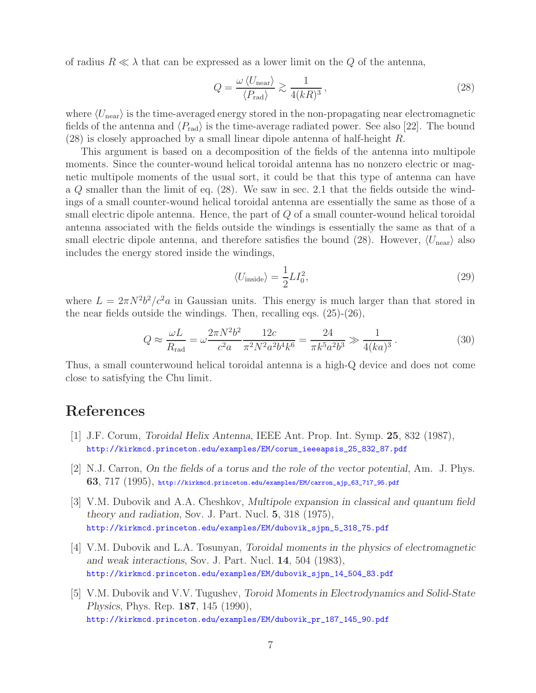of radius  $R \ll \lambda$  that can be expressed as a lower limit on the  $Q$  of the antenna,

$$
Q = \frac{\omega \langle U_{\text{near}} \rangle}{\langle P_{\text{rad}} \rangle} \gtrsim \frac{1}{4(kR)^3},\tag{28}
$$

where  $\langle U_{\text{near}} \rangle$  is the time-averaged energy stored in the non-propagating near electromagnetic fields of the antenna and  $\langle P_{\text{rad}} \rangle$  is the time-average radiated power. See also [22]. The bound (28) is closely approached by a small linear dipole antenna of half-height R.

This argument is based on a decomposition of the fields of the antenna into multipole moments. Since the counter-wound helical toroidal antenna has no nonzero electric or magnetic multipole moments of the usual sort, it could be that this type of antenna can have a Q smaller than the limit of eq. (28). We saw in sec. 2.1 that the fields outside the windings of a small counter-wound helical toroidal antenna are essentially the same as those of a small electric dipole antenna. Hence, the part of Q of a small counter-wound helical toroidal antenna associated with the fields outside the windings is essentially the same as that of a small electric dipole antenna, and therefore satisfies the bound (28). However,  $\langle U_{\text{near}} \rangle$  also includes the energy stored inside the windings,

$$
\langle U_{\text{inside}} \rangle = \frac{1}{2} L I_0^2,\tag{29}
$$

where  $L = 2\pi N^2b^2/c^2a$  in Gaussian units. This energy is much larger than that stored in the near fields outside the windings. Then, recalling eqs. (25)-(26),

$$
Q \approx \frac{\omega L}{R_{\text{rad}}} = \omega \frac{2\pi N^2 b^2}{c^2 a} \frac{12c}{\pi^2 N^2 a^2 b^4 k^6} = \frac{24}{\pi k^5 a^2 b^3} \gg \frac{1}{4(ka)^3}.
$$
 (30)

Thus, a small counterwound helical toroidal antenna is a high-Q device and does not come close to satisfying the Chu limit.

# **References**

- [1] J.F. Corum, *Toroidal Helix Antenna*, IEEE Ant. Prop. Int. Symp. **25**, 832 (1987), http://kirkmcd.princeton.edu/examples/EM/corum\_ieeeapsis\_25\_832\_87.pdf
- [2] N.J. Carron, *On the fields of a torus and the role of the vector potential*, Am. J. Phys. **63**, 717 (1995), http://kirkmcd.princeton.edu/examples/EM/carron\_ajp\_63\_717\_95.pdf
- [3] V.M. Dubovik and A.A. Cheshkov, *Multipole expansion in classical and quantum field theory and radiation*, Sov. J. Part. Nucl. **5**, 318 (1975), http://kirkmcd.princeton.edu/examples/EM/dubovik\_sjpn\_5\_318\_75.pdf
- [4] V.M. Dubovik and L.A. Tosunyan, *Toroidal moments in the physics of electromagnetic and weak interactions*, Sov. J. Part. Nucl. **14**, 504 (1983), http://kirkmcd.princeton.edu/examples/EM/dubovik\_sjpn\_14\_504\_83.pdf
- [5] V.M. Dubovik and V.V. Tugushev, *Toroid Moments in Electrodynamics and Solid-State Physics*, Phys. Rep. **187**, 145 (1990), http://kirkmcd.princeton.edu/examples/EM/dubovik\_pr\_187\_145\_90.pdf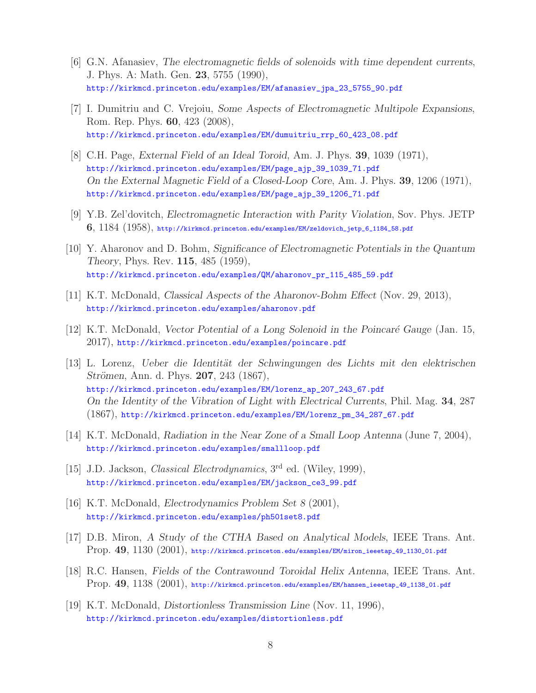- [6] G.N. Afanasiev, *The electromagnetic fields of solenoids with time dependent currents*, J. Phys. A: Math. Gen. **23**, 5755 (1990), http://kirkmcd.princeton.edu/examples/EM/afanasiev\_jpa\_23\_5755\_90.pdf
- [7] I. Dumitriu and C. Vrejoiu, *Some Aspects of Electromagnetic Multipole Expansions*, Rom. Rep. Phys. **60**, 423 (2008), http://kirkmcd.princeton.edu/examples/EM/dumuitriu\_rrp\_60\_423\_08.pdf
- [8] C.H. Page, *External Field of an Ideal Toroid*, Am. J. Phys. **39**, 1039 (1971), http://kirkmcd.princeton.edu/examples/EM/page\_ajp\_39\_1039\_71.pdf *On the External Magnetic Field of a Closed-Loop Core*, Am. J. Phys. **39**, 1206 (1971), http://kirkmcd.princeton.edu/examples/EM/page\_ajp\_39\_1206\_71.pdf
- [9] Y.B. Zel'dovitch, *Electromagnetic Interaction with Parity Violation*, Sov. Phys. JETP **6**, 1184 (1958), http://kirkmcd.princeton.edu/examples/EM/zeldovich\_jetp\_6\_1184\_58.pdf
- [10] Y. Aharonov and D. Bohm, *Significance of Electromagnetic Potentials in the Quantum Theory*, Phys. Rev. **115**, 485 (1959), http://kirkmcd.princeton.edu/examples/QM/aharonov\_pr\_115\_485\_59.pdf
- [11] K.T. McDonald, *Classical Aspects of the Aharonov-Bohm Effect* (Nov. 29, 2013), http://kirkmcd.princeton.edu/examples/aharonov.pdf
- [12] K.T. McDonald, *Vector Potential of a Long Solenoid in the Poincar´e Gauge* (Jan. 15, 2017), http://kirkmcd.princeton.edu/examples/poincare.pdf
- [13] L. Lorenz, *Ueber die Identit¨at der Schwingungen des Lichts mit den elektrischen Strömen, Ann. d. Phys.* **207**, 243 (1867), http://kirkmcd.princeton.edu/examples/EM/lorenz\_ap\_207\_243\_67.pdf *On the Identity of the Vibration of Light with Electrical Currents*, Phil. Mag. **34**, 287 (1867), http://kirkmcd.princeton.edu/examples/EM/lorenz\_pm\_34\_287\_67.pdf
- [14] K.T. McDonald, *Radiation in the Near Zone of a Small Loop Antenna* (June 7, 2004), http://kirkmcd.princeton.edu/examples/smallloop.pdf
- [15] J.D. Jackson, *Classical Electrodynamics*, 3rd ed. (Wiley, 1999), http://kirkmcd.princeton.edu/examples/EM/jackson\_ce3\_99.pdf
- [16] K.T. McDonald, *Electrodynamics Problem Set 8* (2001), http://kirkmcd.princeton.edu/examples/ph501set8.pdf
- [17] D.B. Miron, *A Study of the CTHA Based on Analytical Models*, IEEE Trans. Ant. Prop. **49**, 1130 (2001), http://kirkmcd.princeton.edu/examples/EM/miron\_ieeetap\_49\_1130\_01.pdf
- [18] R.C. Hansen, *Fields of the Contrawound Toroidal Helix Antenna*, IEEE Trans. Ant. Prop. **49**, 1138 (2001), http://kirkmcd.princeton.edu/examples/EM/hansen\_ieeetap\_49\_1138\_01.pdf
- [19] K.T. McDonald, *Distortionless Transmission Line* (Nov. 11, 1996), http://kirkmcd.princeton.edu/examples/distortionless.pdf